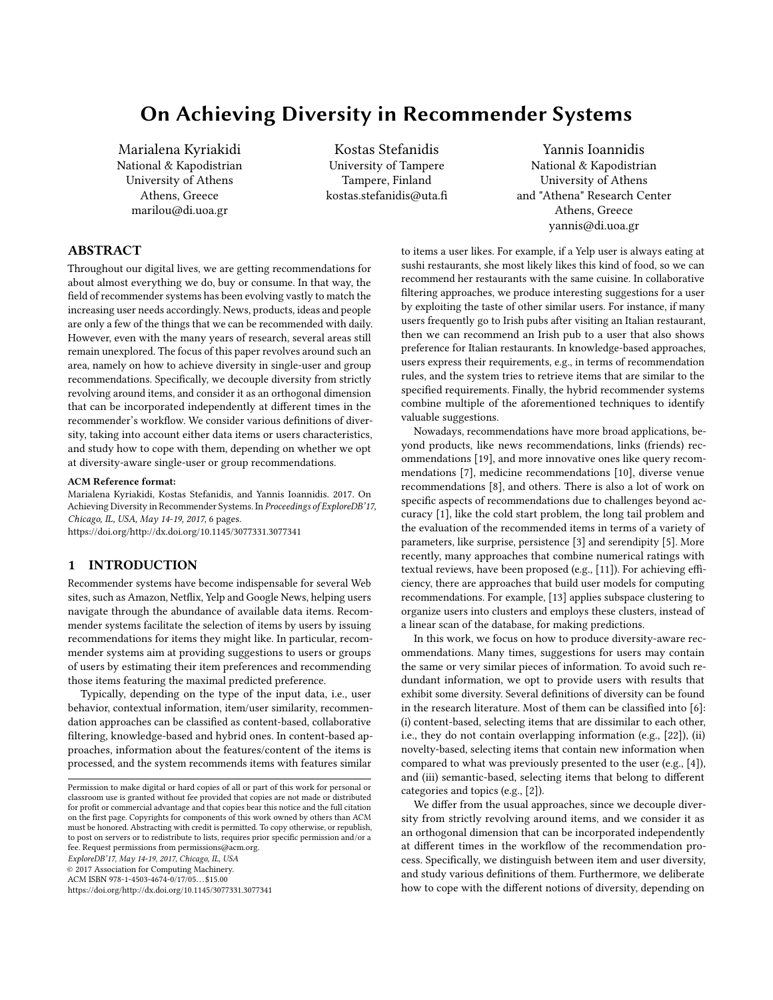# On Achieving Diversity in Recommender Systems

Marialena Kyriakidi National & Kapodistrian University of Athens Athens, Greece marilou@di.uoa.gr

Kostas Stefanidis University of Tampere Tampere, Finland kostas.stefanidis@uta.fi

Yannis Ioannidis National & Kapodistrian University of Athens and "Athena" Research Center Athens, Greece yannis@di.uoa.gr

# ABSTRACT

Throughout our digital lives, we are getting recommendations for about almost everything we do, buy or consume. In that way, the field of recommender systems has been evolving vastly to match the increasing user needs accordingly. News, products, ideas and people are only a few of the things that we can be recommended with daily. However, even with the many years of research, several areas still remain unexplored. The focus of this paper revolves around such an area, namely on how to achieve diversity in single-user and group recommendations. Specifically, we decouple diversity from strictly revolving around items, and consider it as an orthogonal dimension that can be incorporated independently at different times in the recommender's workflow. We consider various definitions of diversity, taking into account either data items or users characteristics, and study how to cope with them, depending on whether we opt at diversity-aware single-user or group recommendations.

#### ACM Reference format:

Marialena Kyriakidi, Kostas Stefanidis, and Yannis Ioannidis. 2017. On Achieving Diversity in Recommender Systems. In Proceedings of ExploreDB'17, Chicago, IL, USA, May 14-19, 2017, [6](#page-5-0) pages. <https://doi.org/http://dx.doi.org/10.1145/3077331.3077341>

## 1 INTRODUCTION

Recommender systems have become indispensable for several Web sites, such as Amazon, Netflix, Yelp and Google News, helping users navigate through the abundance of available data items. Recommender systems facilitate the selection of items by users by issuing recommendations for items they might like. In particular, recommender systems aim at providing suggestions to users or groups of users by estimating their item preferences and recommending those items featuring the maximal predicted preference.

Typically, depending on the type of the input data, i.e., user behavior, contextual information, item/user similarity, recommendation approaches can be classified as content-based, collaborative filtering, knowledge-based and hybrid ones. In content-based approaches, information about the features/content of the items is processed, and the system recommends items with features similar

ExploreDB'17, May 14-19, 2017, Chicago, IL, USA

© 2017 Association for Computing Machinery.

ACM ISBN 978-1-4503-4674-0/17/05. . . \$15.00

<https://doi.org/http://dx.doi.org/10.1145/3077331.3077341>

to items a user likes. For example, if a Yelp user is always eating at sushi restaurants, she most likely likes this kind of food, so we can recommend her restaurants with the same cuisine. In collaborative filtering approaches, we produce interesting suggestions for a user by exploiting the taste of other similar users. For instance, if many users frequently go to Irish pubs after visiting an Italian restaurant, then we can recommend an Irish pub to a user that also shows preference for Italian restaurants. In knowledge-based approaches, users express their requirements, e.g., in terms of recommendation rules, and the system tries to retrieve items that are similar to the specified requirements. Finally, the hybrid recommender systems combine multiple of the aforementioned techniques to identify valuable suggestions.

Nowadays, recommendations have more broad applications, beyond products, like news recommendations, links (friends) recommendations [\[19\]](#page-5-1), and more innovative ones like query recommendations [\[7\]](#page-5-2), medicine recommendations [\[10\]](#page-5-3), diverse venue recommendations [\[8\]](#page-5-4), and others. There is also a lot of work on specific aspects of recommendations due to challenges beyond accuracy [\[1\]](#page-5-5), like the cold start problem, the long tail problem and the evaluation of the recommended items in terms of a variety of parameters, like surprise, persistence [\[3\]](#page-5-6) and serendipity [\[5\]](#page-5-7). More recently, many approaches that combine numerical ratings with textual reviews, have been proposed (e.g., [\[11\]](#page-5-8)). For achieving efficiency, there are approaches that build user models for computing recommendations. For example, [\[13\]](#page-5-9) applies subspace clustering to organize users into clusters and employs these clusters, instead of a linear scan of the database, for making predictions.

In this work, we focus on how to produce diversity-aware recommendations. Many times, suggestions for users may contain the same or very similar pieces of information. To avoid such redundant information, we opt to provide users with results that exhibit some diversity. Several definitions of diversity can be found in the research literature. Most of them can be classified into [\[6\]](#page-5-10): (i) content-based, selecting items that are dissimilar to each other, i.e., they do not contain overlapping information (e.g., [\[22\]](#page-5-11)), (ii) novelty-based, selecting items that contain new information when compared to what was previously presented to the user (e.g., [\[4\]](#page-5-12)), and (iii) semantic-based, selecting items that belong to different categories and topics (e.g., [\[2\]](#page-5-13)).

We differ from the usual approaches, since we decouple diversity from strictly revolving around items, and we consider it as an orthogonal dimension that can be incorporated independently at different times in the workflow of the recommendation process. Specifically, we distinguish between item and user diversity, and study various definitions of them. Furthermore, we deliberate how to cope with the different notions of diversity, depending on

Permission to make digital or hard copies of all or part of this work for personal or classroom use is granted without fee provided that copies are not made or distributed for profit or commercial advantage and that copies bear this notice and the full citation on the first page. Copyrights for components of this work owned by others than ACM must be honored. Abstracting with credit is permitted. To copy otherwise, or republish, to post on servers or to redistribute to lists, requires prior specific permission and/or a fee. Request permissions from permissions@acm.org.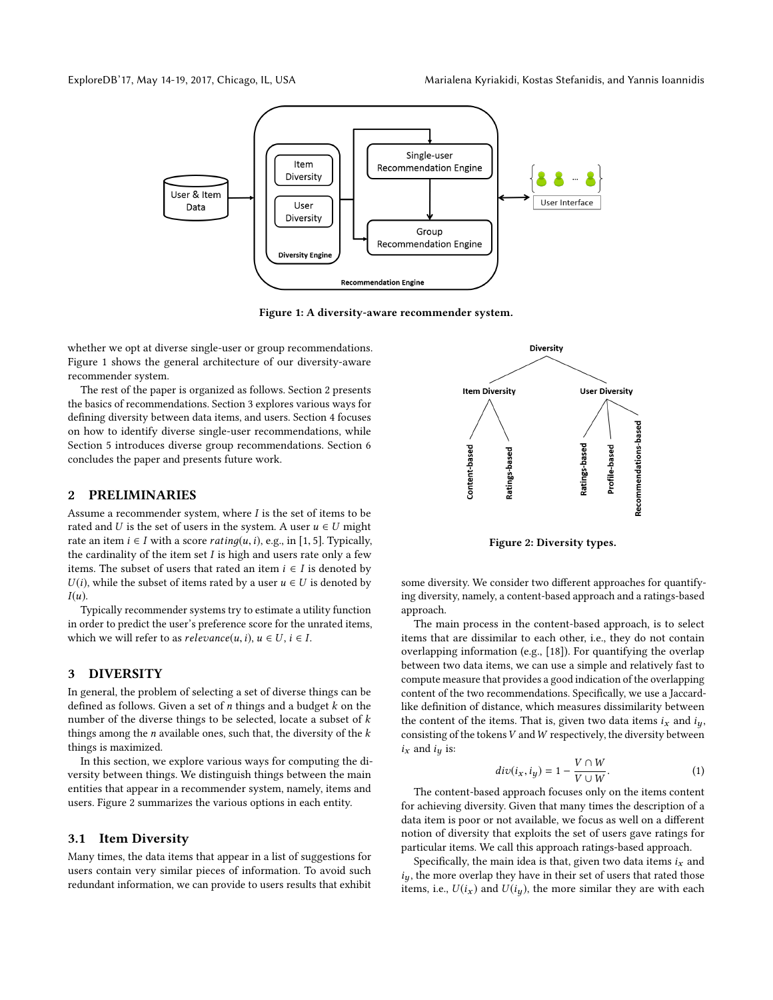<span id="page-1-0"></span>

Figure 1: A diversity-aware recommender system.

whether we opt at diverse single-user or group recommendations. Figure [1](#page-1-0) shows the general architecture of our diversity-aware recommender system.

The rest of the paper is organized as follows. Section [2](#page-1-1) presents the basics of recommendations. Section [3](#page-1-2) explores various ways for defining diversity between data items, and users. Section [4](#page-2-0) focuses on how to identify diverse single-user recommendations, while Section [5](#page-3-0) introduces diverse group recommendations. Section [6](#page-4-0) concludes the paper and presents future work.

#### <span id="page-1-1"></span>2 PRELIMINARIES

Assume a recommender system, where I is the set of items to be rated and U is the set of users in the system. A user  $u \in U$  might rate an item  $i \in I$  with a score *rating* $(u, i)$ , e.g., in [1, 5]. Typically, the cardinality of the item set  $I$  is high and users rate only a few items. The subset of users that rated an item  $i \in I$  is denoted by  $U(i)$ , while the subset of items rated by a user  $u \in U$  is denoted by  $I(u)$ .

Typically recommender systems try to estimate a utility function in order to predict the user's preference score for the unrated items, which we will refer to as  $relevance(u, i), u \in U, i \in I$ .

## <span id="page-1-2"></span>3 DIVERSITY

In general, the problem of selecting a set of diverse things can be defined as follows. Given a set of  $n$  things and a budget  $k$  on the number of the diverse things to be selected, locate a subset of k things among the  $n$  available ones, such that, the diversity of the  $k$ things is maximized.

In this section, we explore various ways for computing the diversity between things. We distinguish things between the main entities that appear in a recommender system, namely, items and users. Figure [2](#page-1-3) summarizes the various options in each entity.

#### 3.1 Item Diversity

Many times, the data items that appear in a list of suggestions for users contain very similar pieces of information. To avoid such redundant information, we can provide to users results that exhibit

<span id="page-1-3"></span>

Figure 2: Diversity types.

some diversity. We consider two different approaches for quantifying diversity, namely, a content-based approach and a ratings-based approach.

The main process in the content-based approach, is to select items that are dissimilar to each other, i.e., they do not contain overlapping information (e.g., [\[18\]](#page-5-14)). For quantifying the overlap between two data items, we can use a simple and relatively fast to compute measure that provides a good indication of the overlapping content of the two recommendations. Specifically, we use a Jaccardlike definition of distance, which measures dissimilarity between the content of the items. That is, given two data items  $i_x$  and  $i_y$ , consisting of the tokens  $V$  and  $W$  respectively, the diversity between  $i_x$  and  $i_y$  is:

<span id="page-1-4"></span>
$$
div(i_x, i_y) = 1 - \frac{V \cap W}{V \cup W}.
$$
 (1)  
The content-based approach focuses only on the items content

for achieving diversity. Given that many times the description of a data item is poor or not available, we focus as well on a different notion of diversity that exploits the set of users gave ratings for particular items. We call this approach ratings-based approach.

Specifically, the main idea is that, given two data items  $i_x$  and  $i_y$ , the more overlap they have in their set of users that rated those items, i.e.,  $U(i_x)$  and  $U(i_y)$ , the more similar they are with each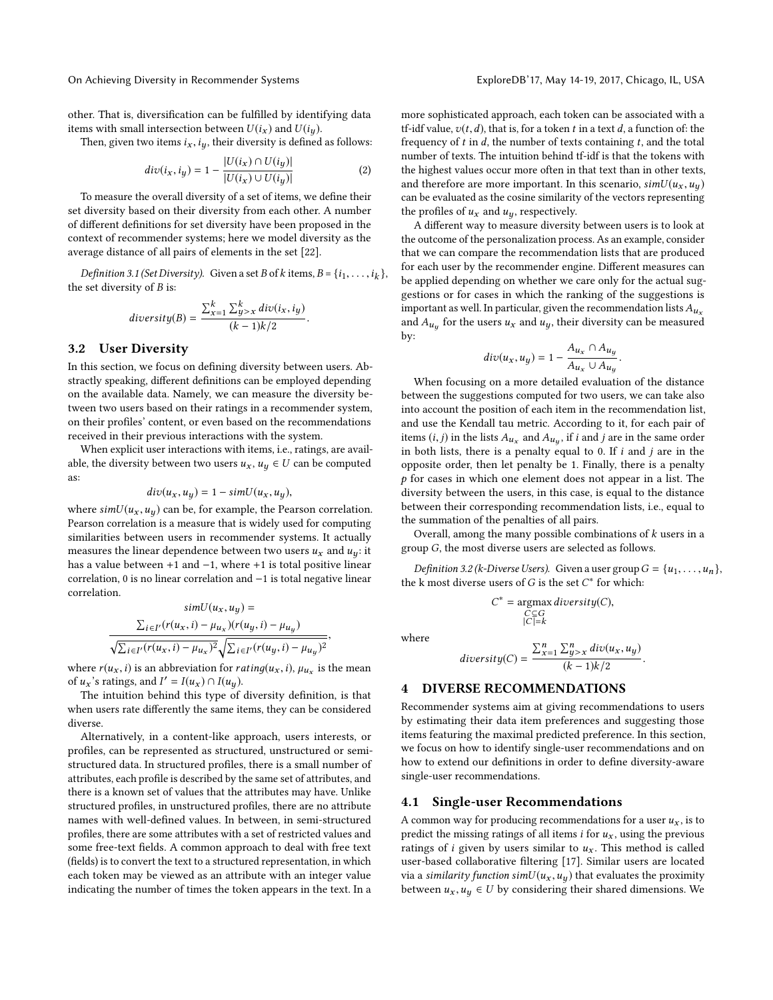On Achieving Diversity in Recommender Systems ExploreDB'17, May 14-19, 2017, Chicago, IL, USA

other. That is, diversification can be fulfilled by identifying data items with small intersection between  $U(i_x)$  and  $U(i_y)$ .

Then, given two items  $i_x$ ,  $i_y$ , their diversity is defined as follows:

$$
div(i_x, i_y) = 1 - \frac{|U(i_x) \cap U(i_y)|}{|U(i_x) \cup U(i_y)|}
$$
 (2)

To measure the overall diversity of a set of items, we define their set diversity based on their diversity from each other. A number of different definitions for set diversity have been proposed in the context of recommender systems; here we model diversity as the average distance of all pairs of elements in the set [\[22\]](#page-5-11).

Definition 3.1 (Set Diversity). Given a set B of k items,  $B = \{i_1, \ldots, i_k\}$ , set diversity of B is: the set diversity of  $B$  is:

$$
diversity(B) = \frac{\sum_{x=1}^{k} \sum_{y>x}^{k} div(i_x, iy)}{(k-1)k/2}.
$$

#### 3.2 User Diversity

In this section, we focus on defining diversity between users. Abstractly speaking, different definitions can be employed depending on the available data. Namely, we can measure the diversity between two users based on their ratings in a recommender system, on their profiles' content, or even based on the recommendations received in their previous interactions with the system.

When explicit user interactions with items, i.e., ratings, are available, the diversity between two users  $u_x$ ,  $u_y \in U$  can be computed as:

$$
div(u_x, u_y) = 1 - simU(u_x, u_y),
$$

where  $simU(u_x, u_y)$  can be, for example, the Pearson correlation. Pearson correlation is a measure that is widely used for computing similarities between users in recommender systems. It actually measures the linear dependence between two users  $u_x$  and  $u_y$ : it has a value between +1 and −1, where +1 is total positive linear correlation, 0 is no linear correlation and −1 is total negative linear correlation.

$$
simU(u_x, u_y) =
$$
  

$$
\frac{\sum_{i \in I'} (r(u_x, i) - \mu_{u_x})(r(u_y, i) - \mu_{u_y})}{\sqrt{\sum_{i \in I'} (r(u_x, i) - \mu_{u_x})^2} \sqrt{\sum_{i \in I'} (r(u_y, i) - \mu_{u_y})^2}},
$$

where  $r(u_x, i)$  is an abbreviation for *rating* $(u_x, i)$ ,  $\mu_{u_x}$  is the mean of  $u_x$ 's ratings, and  $I' = I(u_x) \cap I(u_y)$ of  $u_x$ 's ratings, and  $I' = I(u_x) \cap I(u_y)$ .<br>The intuition behind this type of

The intuition behind this type of diversity definition, is that when users rate differently the same items, they can be considered diverse.

Alternatively, in a content-like approach, users interests, or profiles, can be represented as structured, unstructured or semistructured data. In structured profiles, there is a small number of attributes, each profile is described by the same set of attributes, and there is a known set of values that the attributes may have. Unlike structured profiles, in unstructured profiles, there are no attribute names with well-defined values. In between, in semi-structured profiles, there are some attributes with a set of restricted values and some free-text fields. A common approach to deal with free text (fields) is to convert the text to a structured representation, in which each token may be viewed as an attribute with an integer value indicating the number of times the token appears in the text. In a

more sophisticated approach, each token can be associated with a tf-idf value,  $v(t, d)$ , that is, for a token t in a text d, a function of: the frequency of  $t$  in  $d$ , the number of texts containing  $t$ , and the total number of texts. The intuition behind tf-idf is that the tokens with the highest values occur more often in that text than in other texts, and therefore are more important. In this scenario,  $simU(u_x, u_y)$ can be evaluated as the cosine similarity of the vectors representing the profiles of  $u_x$  and  $u_y$ , respectively.

A different way to measure diversity between users is to look at the outcome of the personalization process. As an example, consider that we can compare the recommendation lists that are produced for each user by the recommender engine. Different measures can be applied depending on whether we care only for the actual suggestions or for cases in which the ranking of the suggestions is important as well. In particular, given the recommendation lists  $A_{u_x}$ and  $A_{u_y}$  for the users  $u_x$  and  $u_y$ , their diversity can be measured by:

$$
div(u_x, u_y) = 1 - \frac{A_{u_x} \cap A_{u_y}}{A_{u_x} \cup A_{u_y}}.
$$

 $A_{u_x} \cup A_{u_y}$ <br>When focusing on a more detailed evaluation of the distance between the suggestions computed for two users, we can take also into account the position of each item in the recommendation list, and use the Kendall tau metric. According to it, for each pair of items  $(i, j)$  in the lists  $A_{u_x}$  and  $A_{u_y}$ , if i and j are in the same order<br>in both lists, there is a penalty equal to 0. If i and j are in the in both lists, there is a penalty equal to 0. If  $i$  and  $j$  are in the opposite order, then let penalty be 1. Finally, there is a penalty  $p$  for cases in which one element does not appear in a list. The diversity between the users, in this case, is equal to the distance between their corresponding recommendation lists, i.e., equal to the summation of the penalties of all pairs.

Overall, among the many possible combinations of  $k$  users in a group G, the most diverse users are selected as follows.

<span id="page-2-1"></span>Definition 3.2 (k-Diverse Users). Given a user group  $G = \{u_1, \ldots, u_n\}$ , the k most diverse users of G is the set  $C^*$  for which:

$$
C^* = \underset{C \subseteq G}{\text{argmax}} \, diversity(C),
$$
  

$$
|C| = k
$$

where

$$
diversity(C) = \frac{\sum_{x=1}^{n} \sum_{y>x}^{n} div(u_x, u_y)}{(k-1)k/2}
$$

#### <span id="page-2-0"></span>4 DIVERSE RECOMMENDATIONS

Recommender systems aim at giving recommendations to users by estimating their data item preferences and suggesting those items featuring the maximal predicted preference. In this section, we focus on how to identify single-user recommendations and on how to extend our definitions in order to define diversity-aware single-user recommendations.

#### 4.1 Single-user Recommendations

A common way for producing recommendations for a user  $u_x$ , is to predict the missing ratings of all items  $i$  for  $u_x$ , using the previous ratings of  $i$  given by users similar to  $u_x$ . This method is called user-based collaborative filtering [\[17\]](#page-5-15). Similar users are located via a similarity function sim $U(u_x, u_y)$  that evaluates the proximity between  $u_x, u_y \in U$  by considering their shared dimensions. We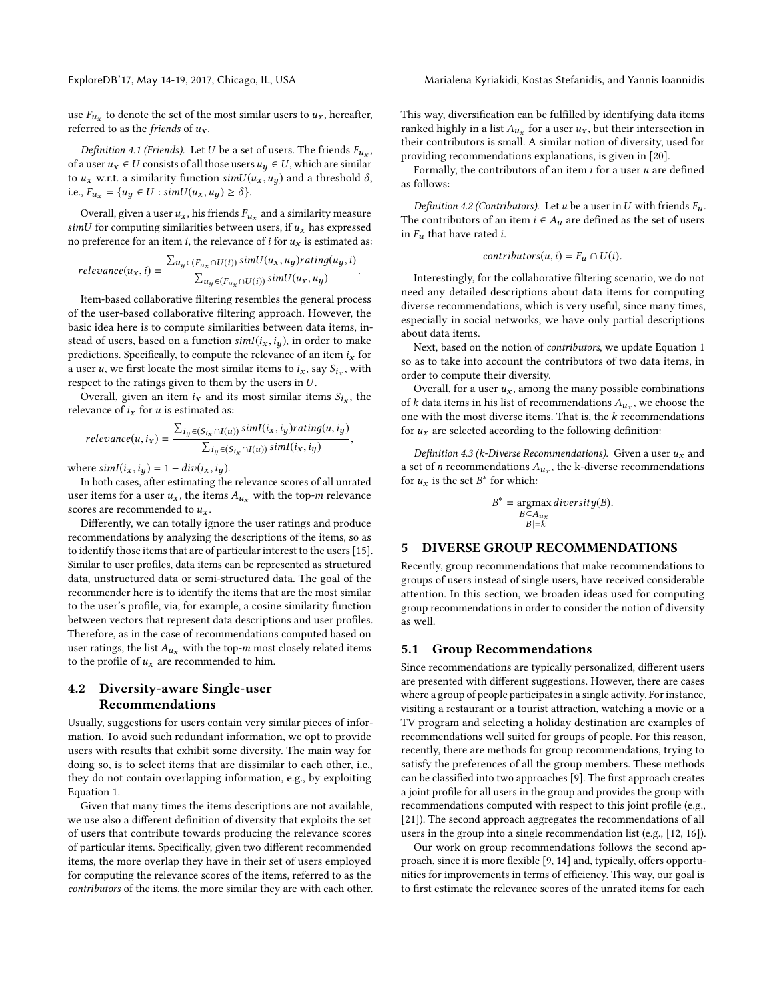use  $F_{u_x}$  to denote the set of the most similar users to  $u_x$ , hereafter, referred to as the *friends* of  $u_x$ .

Definition 4.1 (Friends). Let U be a set of users. The friends  $F_{u_x}$ ,<br>a user  $u_x \in U$  consists of all those users  $u_y \in U$  which are similar of a user  $u_x \in U$  consists of all those users  $u_y \in U$ , which are similar to  $u_x$  w.r.t. a similarity function  $simU(u_x, u_y)$  and a threshold  $\delta$ , i.e.,  $F_{u_x} = \{u_y \in U : \text{sim}U(u_x, u_y) \ge \delta\}.$ 

Overall, given a user  $u_x$ , his friends  $F_{u_x}$  and a similarity measure  $u^U$  for computing similarities between users if  $u$ , has expressed simU for computing similarities between users, if  $u_x$  has expressed no preference for an item *i*, the relevance of *i* for  $u_x$  is estimated as:

$$
relevance(u_x, i) = \frac{\sum_{u_y \in (F_{u_x} \cap U(i))} simU(u_x, u_y) \cdot rating(u_y, i)}{\sum_{u_y \in (F_{u_x} \cap U(i))} simU(u_x, u_y)}.
$$

Item-based collaborative filtering resembles the general process of the user-based collaborative filtering approach. However, the basic idea here is to compute similarities between data items, instead of users, based on a function  $simI(i_x, i_y)$ , in order to make predictions. Specifically, to compute the relevance of an item  $i_x$  for a user u, we first locate the most similar items to  $i_x$ , say  $S_{i_x}$ , with recover to the ratings given to them by the users in  $II$ respect to the ratings given to them by the users in  $U$ .

Overall, given an item  $i_x$  and its most similar items  $S_{i_x}$ , the relevance of  $i_x$  for  $u$  is estimated as:

$$
relevance(u, i_x) = \frac{\sum_{i_y \in (S_{i_x} \cap I(u))} simI(i_x, i_y) rating(u, i_y)}{\sum_{i_y \in (S_{i_x} \cap I(u))} simI(i_x, i_y)}
$$

,

where  $simI(i_x, i_y) = 1 - div(i_x, i_y)$ .

In both cases, after estimating the relevance scores of all unrated user items for a user  $u_x$ , the items  $A_{u_x}$  with the top-*m* relevance scores are recommended to  $u_x$ .

Differently, we can totally ignore the user ratings and produce recommendations by analyzing the descriptions of the items, so as to identify those items that are of particular interest to the users [\[15\]](#page-5-16). Similar to user profiles, data items can be represented as structured data, unstructured data or semi-structured data. The goal of the recommender here is to identify the items that are the most similar to the user's profile, via, for example, a cosine similarity function between vectors that represent data descriptions and user profiles. Therefore, as in the case of recommendations computed based on user ratings, the list  $A_{u_x}$  with the top-m most closely related items to the profile of  $u_x$  are recommended to him.

## <span id="page-3-1"></span>4.2 Diversity-aware Single-user Recommendations

Usually, suggestions for users contain very similar pieces of information. To avoid such redundant information, we opt to provide users with results that exhibit some diversity. The main way for doing so, is to select items that are dissimilar to each other, i.e., they do not contain overlapping information, e.g., by exploiting Equation [1.](#page-1-4)

Given that many times the items descriptions are not available, we use also a different definition of diversity that exploits the set of users that contribute towards producing the relevance scores of particular items. Specifically, given two different recommended items, the more overlap they have in their set of users employed for computing the relevance scores of the items, referred to as the contributors of the items, the more similar they are with each other. This way, diversification can be fulfilled by identifying data items ranked highly in a list  $A_{u_x}$  for a user  $u_x$ , but their intersection in their contributors is small. A similar notion of diversity, used for their contributors is small. A similar notion of diversity, used for providing recommendations explanations, is given in [\[20\]](#page-5-17).

Formally, the contributors of an item i for a user u are defined as follows:

Definition 4.2 (Contributors). Let u be a user in U with friends  $F_u$ . The contributors of an item  $i \in A_u$  are defined as the set of users in  $F_u$  that have rated *i*.

$$
contributes(u, i) = F_u \cap U(i).
$$

Interestingly, for the collaborative filtering scenario, we do not need any detailed descriptions about data items for computing diverse recommendations, which is very useful, since many times, especially in social networks, we have only partial descriptions about data items.

Next, based on the notion of contributors, we update Equation [1](#page-1-4) so as to take into account the contributors of two data items, in order to compute their diversity.

Overall, for a user  $u_x$ , among the many possible combinations of k data items in his list of recommendations  $A_{u_x}$ , we choose the<br>one with the most diverse items. That is, the k recommendations one with the most diverse items. That is, the  $k$  recommendations for  $u_x$  are selected according to the following definition:

Definition 4.3 (k-Diverse Recommendations). Given a user  $u_x$  and a set of *n* recommendations  $A_{u_x}$ , the k-diverse recommendations for *u* is the set  $R^*$  for which: for  $u_x$  is the set  $B^*$  for which:

$$
B^* = \underset{|B|=k}{\operatorname{argmax}} \, diversity(B).
$$

## <span id="page-3-0"></span>5 DIVERSE GROUP RECOMMENDATIONS

Recently, group recommendations that make recommendations to groups of users instead of single users, have received considerable attention. In this section, we broaden ideas used for computing group recommendations in order to consider the notion of diversity as well.

#### 5.1 Group Recommendations

Since recommendations are typically personalized, different users are presented with different suggestions. However, there are cases where a group of people participates in a single activity. For instance, visiting a restaurant or a tourist attraction, watching a movie or a TV program and selecting a holiday destination are examples of recommendations well suited for groups of people. For this reason, recently, there are methods for group recommendations, trying to satisfy the preferences of all the group members. These methods can be classified into two approaches [\[9\]](#page-5-18). The first approach creates a joint profile for all users in the group and provides the group with recommendations computed with respect to this joint profile (e.g., [\[21\]](#page-5-19)). The second approach aggregates the recommendations of all users in the group into a single recommendation list (e.g., [\[12,](#page-5-20) [16\]](#page-5-21)).

Our work on group recommendations follows the second approach, since it is more flexible [\[9,](#page-5-18) [14\]](#page-5-22) and, typically, offers opportunities for improvements in terms of efficiency. This way, our goal is to first estimate the relevance scores of the unrated items for each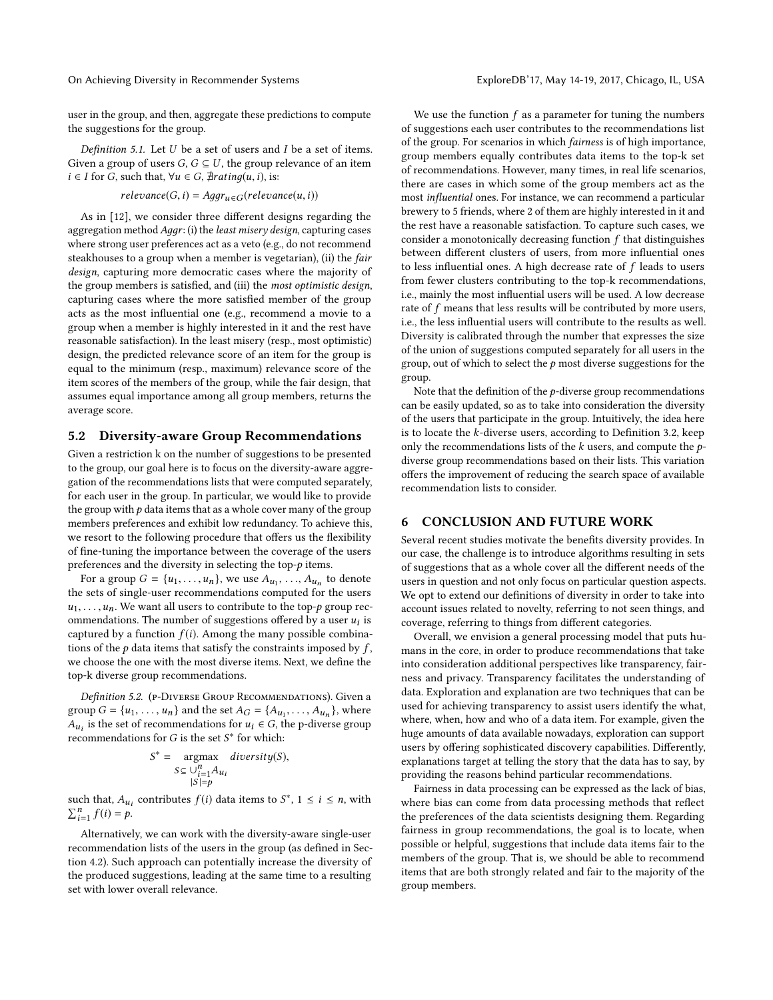user in the group, and then, aggregate these predictions to compute the suggestions for the group.

Definition 5.1. Let  $U$  be a set of users and  $I$  be a set of items. Given a group of users  $G, G \subseteq U$ , the group relevance of an item  $i \in I$  for G, such that,  $\forall u \in G$ ,  $\exists$ rating $(u, i)$ , is:

$$
relevance(G, i) = Aggr_{u \in G}(relevance(u, i))
$$

As in [\[12\]](#page-5-20), we consider three different designs regarding the aggregation method Aggr: (i) the least misery design, capturing cases where strong user preferences act as a veto (e.g., do not recommend steakhouses to a group when a member is vegetarian), (ii) the fair design, capturing more democratic cases where the majority of the group members is satisfied, and (iii) the most optimistic design, capturing cases where the more satisfied member of the group acts as the most influential one (e.g., recommend a movie to a group when a member is highly interested in it and the rest have reasonable satisfaction). In the least misery (resp., most optimistic) design, the predicted relevance score of an item for the group is equal to the minimum (resp., maximum) relevance score of the item scores of the members of the group, while the fair design, that assumes equal importance among all group members, returns the average score.

## 5.2 Diversity-aware Group Recommendations

Given a restriction k on the number of suggestions to be presented to the group, our goal here is to focus on the diversity-aware aggregation of the recommendations lists that were computed separately, for each user in the group. In particular, we would like to provide the group with  $p$  data items that as a whole cover many of the group members preferences and exhibit low redundancy. To achieve this, we resort to the following procedure that offers us the flexibility of fine-tuning the importance between the coverage of the users preferences and the diversity in selecting the top-p items.

For a group  $G = \{u_1, \ldots, u_n\}$ , we use  $A_{u_1}, \ldots, A_{u_n}$  to denote the sets of single-user recommendations computed for the users  $u_1, \ldots, u_n$ . We want all users to contribute to the top-p group recommendations. The number of suggestions offered by a user  $u_i$  is<br>contured by a function  $f(i)$ , Among the many possible combinacaptured by a function  $f(i)$ . Among the many possible combinations of the  $p$  data items that satisfy the constraints imposed by  $f$ , we choose the one with the most diverse items. Next, we define the top-k diverse group recommendations.

Definition 5.2. (p-Diverse Group Recommendations). Given a group  $G = \{u_1, \ldots, u_n\}$  and the set  $A_G = \{A_{u_1}, \ldots, A_{u_n}\}$ , where  $A_i$  is the set of recommendations for  $u_i \in G$ , the n-diverse group  $\mu_{\text{F}} = \sum_{i=1}^{n} \sum_{i=1}^{n} \sum_{j=1}^{n} \sum_{j=1}^{n} \sum_{j=1}^{n} \sum_{j=1}^{n} \sum_{j=1}^{n} \sum_{j=1}^{n} \sum_{j=1}^{n} \sum_{j=1}^{n} \sum_{j=1}^{n} \sum_{j=1}^{n} \sum_{j=1}^{n} \sum_{j=1}^{n} \sum_{j=1}^{n} \sum_{j=1}^{n} \sum_{j=1}^{n} \sum_{j=1}^{n} \sum_{j=1}^{n} \sum_{j=1}^{n} \sum_{j=1}^{n} \$ recommendations for G is the set  $S^*$  for which:

$$
S^* = \underset{S \subseteq \bigcup_{i=1}^n A_{u_i}}{\text{argmax}} \text{diversity}(S),
$$
  

$$
|S| = p
$$

such that,  $A_{u_i}$  contributes  $f(i)$  data items to  $S^*$ ,  $1 \le i \le n$ , with  $\nabla^n$  $\sum_{i=1}^{n} f(i) = p.$ 

Alternatively, we can work with the diversity-aware single-user recommendation lists of the users in the group (as defined in Section [4.2\)](#page-3-1). Such approach can potentially increase the diversity of the produced suggestions, leading at the same time to a resulting set with lower overall relevance.

We use the function  $f$  as a parameter for tuning the numbers of suggestions each user contributes to the recommendations list of the group. For scenarios in which fairness is of high importance, group members equally contributes data items to the top-k set of recommendations. However, many times, in real life scenarios, there are cases in which some of the group members act as the most influential ones. For instance, we can recommend a particular brewery to 5 friends, where 2 of them are highly interested in it and the rest have a reasonable satisfaction. To capture such cases, we consider a monotonically decreasing function  $f$  that distinguishes between different clusters of users, from more influential ones to less influential ones. A high decrease rate of  $f$  leads to users from fewer clusters contributing to the top-k recommendations, i.e., mainly the most influential users will be used. A low decrease rate of f means that less results will be contributed by more users, i.e., the less influential users will contribute to the results as well. Diversity is calibrated through the number that expresses the size of the union of suggestions computed separately for all users in the group, out of which to select the  $p$  most diverse suggestions for the group.

Note that the definition of the  $p$ -diverse group recommendations can be easily updated, so as to take into consideration the diversity of the users that participate in the group. Intuitively, the idea here is to locate the k-diverse users, according to Definition [3.2,](#page-2-1) keep only the recommendations lists of the  $k$  users, and compute the  $p$ diverse group recommendations based on their lists. This variation offers the improvement of reducing the search space of available recommendation lists to consider.

## <span id="page-4-0"></span>6 CONCLUSION AND FUTURE WORK

Several recent studies motivate the benefits diversity provides. In our case, the challenge is to introduce algorithms resulting in sets of suggestions that as a whole cover all the different needs of the users in question and not only focus on particular question aspects. We opt to extend our definitions of diversity in order to take into account issues related to novelty, referring to not seen things, and coverage, referring to things from different categories.

Overall, we envision a general processing model that puts humans in the core, in order to produce recommendations that take into consideration additional perspectives like transparency, fairness and privacy. Transparency facilitates the understanding of data. Exploration and explanation are two techniques that can be used for achieving transparency to assist users identify the what, where, when, how and who of a data item. For example, given the huge amounts of data available nowadays, exploration can support users by offering sophisticated discovery capabilities. Differently, explanations target at telling the story that the data has to say, by providing the reasons behind particular recommendations.

Fairness in data processing can be expressed as the lack of bias, where bias can come from data processing methods that reflect the preferences of the data scientists designing them. Regarding fairness in group recommendations, the goal is to locate, when possible or helpful, suggestions that include data items fair to the members of the group. That is, we should be able to recommend items that are both strongly related and fair to the majority of the group members.